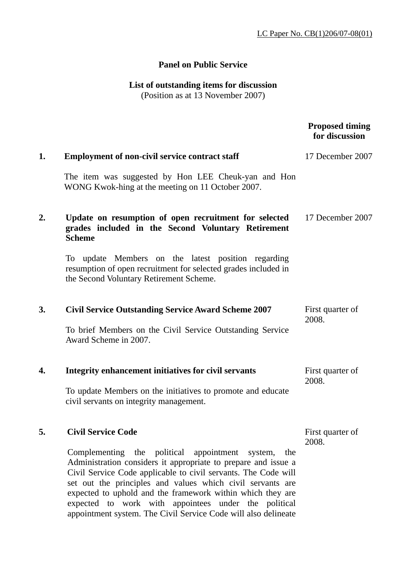## **Panel on Public Service**

## **List of outstanding items for discussion**

(Position as at 13 November 2007)

|    |                                                                                                                                                                                                                                                                                                                                                                                                                                                     | <b>Proposed timing</b><br>for discussion |
|----|-----------------------------------------------------------------------------------------------------------------------------------------------------------------------------------------------------------------------------------------------------------------------------------------------------------------------------------------------------------------------------------------------------------------------------------------------------|------------------------------------------|
| 1. | <b>Employment of non-civil service contract staff</b>                                                                                                                                                                                                                                                                                                                                                                                               | 17 December 2007                         |
|    | The item was suggested by Hon LEE Cheuk-yan and Hon<br>WONG Kwok-hing at the meeting on 11 October 2007.                                                                                                                                                                                                                                                                                                                                            |                                          |
| 2. | Update on resumption of open recruitment for selected<br>grades included in the Second Voluntary Retirement<br><b>Scheme</b>                                                                                                                                                                                                                                                                                                                        | 17 December 2007                         |
|    | To update Members on the latest position regarding<br>resumption of open recruitment for selected grades included in<br>the Second Voluntary Retirement Scheme.                                                                                                                                                                                                                                                                                     |                                          |
| 3. | <b>Civil Service Outstanding Service Award Scheme 2007</b>                                                                                                                                                                                                                                                                                                                                                                                          | First quarter of<br>2008.                |
|    | To brief Members on the Civil Service Outstanding Service<br>Award Scheme in 2007.                                                                                                                                                                                                                                                                                                                                                                  |                                          |
| 4. | Integrity enhancement initiatives for civil servants                                                                                                                                                                                                                                                                                                                                                                                                | First quarter of<br>2008.                |
|    | To update Members on the initiatives to promote and educate<br>civil servants on integrity management.                                                                                                                                                                                                                                                                                                                                              |                                          |
| 5. | <b>Civil Service Code</b>                                                                                                                                                                                                                                                                                                                                                                                                                           | First quarter of<br>2008.                |
|    | Complementing the political appointment<br>system,<br>the<br>Administration considers it appropriate to prepare and issue a<br>Civil Service Code applicable to civil servants. The Code will<br>set out the principles and values which civil servants are<br>expected to uphold and the framework within which they are<br>expected to work with appointees under the political<br>appointment system. The Civil Service Code will also delineate |                                          |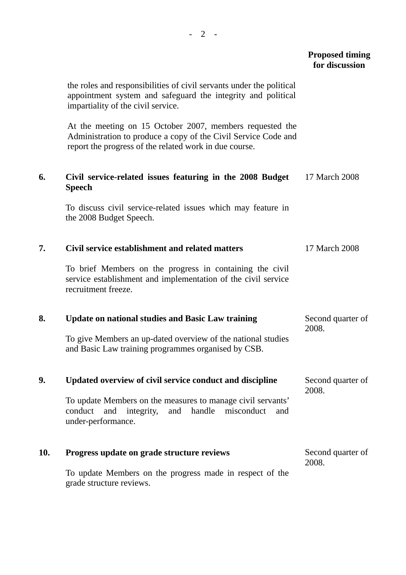|     |                                                                                                                                                                                      | <b>Proposed timing</b><br>for discussion |
|-----|--------------------------------------------------------------------------------------------------------------------------------------------------------------------------------------|------------------------------------------|
|     | the roles and responsibilities of civil servants under the political<br>appointment system and safeguard the integrity and political<br>impartiality of the civil service.           |                                          |
|     | At the meeting on 15 October 2007, members requested the<br>Administration to produce a copy of the Civil Service Code and<br>report the progress of the related work in due course. |                                          |
| 6.  | Civil service-related issues featuring in the 2008 Budget<br><b>Speech</b>                                                                                                           | 17 March 2008                            |
|     | To discuss civil service-related issues which may feature in<br>the 2008 Budget Speech.                                                                                              |                                          |
| 7.  | Civil service establishment and related matters                                                                                                                                      | 17 March 2008                            |
|     | To brief Members on the progress in containing the civil<br>service establishment and implementation of the civil service<br>recruitment freeze.                                     |                                          |
| 8.  | <b>Update on national studies and Basic Law training</b>                                                                                                                             | Second quarter of<br>2008.               |
|     | To give Members an up-dated overview of the national studies<br>and Basic Law training programmes organised by CSB.                                                                  |                                          |
| 9.  | Updated overview of civil service conduct and discipline                                                                                                                             | Second quarter of<br>2008.               |
|     | To update Members on the measures to manage civil servants'<br>handle<br>integrity, and<br>misconduct<br>conduct<br>and<br>and<br>under-performance.                                 |                                          |
| 10. | Progress update on grade structure reviews                                                                                                                                           | Second quarter of<br>2008.               |
|     | To update Members on the progress made in respect of the<br>grade structure reviews.                                                                                                 |                                          |